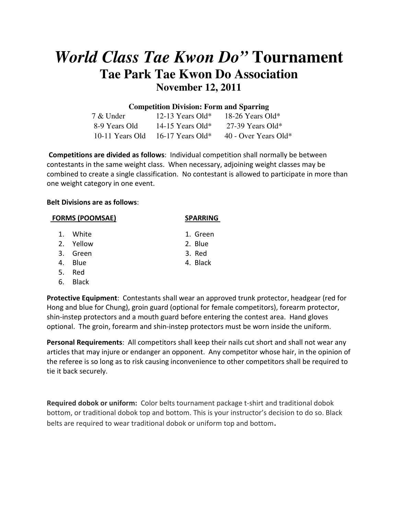# *World Class Tae Kwon Do"* **Tournament Tae Park Tae Kwon Do Association November 12, 2011**

# **Competition Division: Form and Sparring**

| 7 & Under     | 12-13 Years Old*                     | 18-26 Years Old*     |
|---------------|--------------------------------------|----------------------|
| 8-9 Years Old | 14-15 Years Old*                     | 27-39 Years Old*     |
|               | $10-11$ Years Old $16-17$ Years Old* | 40 - Over Years Old* |

Competitions are divided as follows: Individual competition shall normally be between contestants in the same weight class. When necessary, adjoining weight classes may be combined to create a single classification. No contestant is allowed to participate in more than one weight category in one event.

#### Belt Divisions are as follows:

- 1. White 1. Green
- 2. Yellow 2. Blue
- 3. Green 3. Red
- 
- 5. Red
- 6. Black

Protective Equipment: Contestants shall wear an approved trunk protector, headgear (red for Hong and blue for Chung), groin guard (optional for female competitors), forearm protector, shin-instep protectors and a mouth guard before entering the contest area. Hand gloves optional. The groin, forearm and shin-instep protectors must be worn inside the uniform.

Personal Requirements: All competitors shall keep their nails cut short and shall not wear any articles that may injure or endanger an opponent. Any competitor whose hair, in the opinion of the referee is so long as to risk causing inconvenience to other competitors shall be required to tie it back securely.

Required dobok or uniform: Color belts tournament package t-shirt and traditional dobok bottom, or traditional dobok top and bottom. This is your instructor's decision to do so. Black belts are required to wear traditional dobok or uniform top and bottom.

**SPARRING** 

- 
- 
- 
- 
- 4. Blue 4. Black
-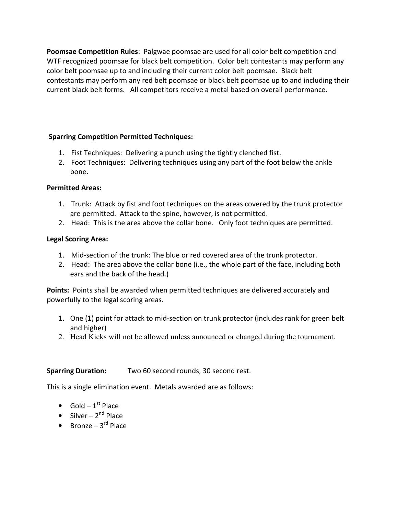Poomsae Competition Rules: Palgwae poomsae are used for all color belt competition and WTF recognized poomsae for black belt competition. Color belt contestants may perform any color belt poomsae up to and including their current color belt poomsae. Black belt contestants may perform any red belt poomsae or black belt poomsae up to and including their current black belt forms. All competitors receive a metal based on overall performance.

### Sparring Competition Permitted Techniques:

- 1. Fist Techniques: Delivering a punch using the tightly clenched fist.
- 2. Foot Techniques: Delivering techniques using any part of the foot below the ankle bone.

### Permitted Areas:

- 1. Trunk: Attack by fist and foot techniques on the areas covered by the trunk protector are permitted. Attack to the spine, however, is not permitted.
- 2. Head: This is the area above the collar bone. Only foot techniques are permitted.

### Legal Scoring Area:

- 1. Mid-section of the trunk: The blue or red covered area of the trunk protector.
- 2. Head: The area above the collar bone (i.e., the whole part of the face, including both ears and the back of the head.)

Points: Points shall be awarded when permitted techniques are delivered accurately and powerfully to the legal scoring areas.

- 1. One (1) point for attack to mid-section on trunk protector (includes rank for green belt and higher)
- 2. Head Kicks will not be allowed unless announced or changed during the tournament.

# Sparring Duration: Two 60 second rounds, 30 second rest.

This is a single elimination event. Metals awarded are as follows:

- Gold  $1^{st}$  Place
- Silver  $2^{nd}$  Place
- Bronze  $3^{rd}$  Place